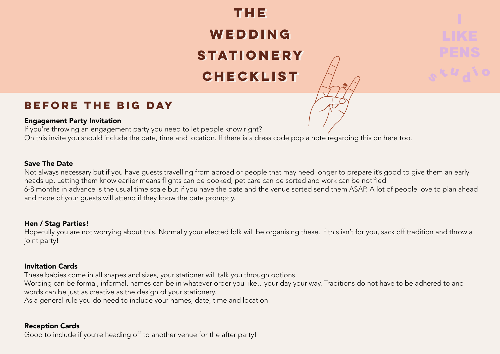## **THE THE WEDDING WEDDING STATIONERY STATIONERY CHECKLIST CHECKLIST**



### **BEFORE THE BIG DAY**

#### Engagement Party Invitation

If you're throwing an engagement party you need to let people know right? On this invite you should include the date, time and location. If there is a dress code pop a note regarding this on here too.

#### Save The Date

Not always necessary but if you have guests travelling from abroad or people that may need longer to prepare it's good to give them an early heads up. Letting them know earlier means flights can be booked, pet care can be sorted and work can be notified. 6-8 months in advance is the usual time scale but if you have the date and the venue sorted send them ASAP. A lot of people love to plan ahead and more of your guests will attend if they know the date promptly.

#### Hen / Stag Parties!

Hopefully you are not worrying about this. Normally your elected folk will be organising these. If this isn't for you, sack off tradition and throw a joint party!

#### Invitation Cards

These babies come in all shapes and sizes, your stationer will talk you through options.

Wording can be formal, informal, names can be in whatever order you like…your day your way. Traditions do not have to be adhered to and words can be just as creative as the design of your stationery.

As a general rule you do need to include your names, date, time and location.

#### Reception Cards

Good to include if you're heading off to another venue for the after party!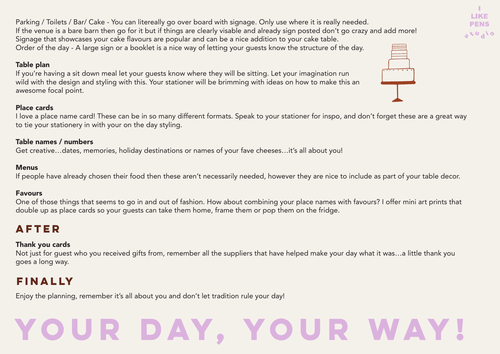# **YOUR DAY, YOUR WAY!**

Parking / Toilets / Bar/ Cake - You can litereally go over board with signage. Only use where it is really needed. If the venue is a bare barn then go for it but if things are clearly visable and already sign posted don't go crazy and add more! Signage that showcases your cake flavours are popular and can be a nice addition to your cake table. Order of the day - A large sign or a booklet is a nice way of letting your guests know the structure of the day.

#### Table plan

If you're having a sit down meal let your guests know where they will be sitting. Let your imagination run wild with the design and styling with this. Your stationer will be brimming with ideas on how to make this an awesome focal point.

#### Place cards

I love a place name card! These can be in so many different formats. Speak to your stationer for inspo, and don't forget these are a great way to tie your stationery in with your on the day styling.

#### Table names / numbers

Get creative…dates, memories, holiday destinations or names of your fave cheeses…it's all about you!

#### **Menus**

If people have already chosen their food then these aren't necessarily needed, however they are nice to include as part of your table decor.

#### Favours

One of those things that seems to go in and out of fashion. How about combining your place names with favours? I offer mini art prints that double up as place cards so your guests can take them home, frame them or pop them on the fridge.

## **AFTER**

#### Thank you cards

Not just for guest who you received gifts from, remember all the suppliers that have helped make your day what it was…a little thank you goes a long way.

## **FINALLY**

Enjoy the planning, remember it's all about you and don't let tradition rule your day!

| $\cdot$ $\cdot$ |  |
|-----------------|--|
|                 |  |



H. **LIKE PENS**  $O/I_A V J_Q$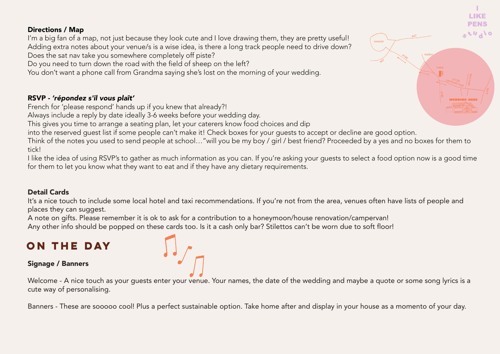#### Directions / Map

I'm a big fan of a map, not just because they look cute and I love drawing them, they are pretty useful! Adding extra notes about your venue/s is a wise idea, is there a long track people need to drive down? Does the sat nav take you somewhere completely off piste?

Do you need to turn down the road with the field of sheep on the left?

You don't want a phone call from Grandma saying she's lost on the morning of your wedding.

#### RSVP - *'répondez s'il vous plaît'*

French for 'please respond' hands up if you knew that already?!

Always include a reply by date ideally 3-6 weeks before your wedding day.

This gives you time to arrange a seating plan, let your caterers know food choices and dip

into the reserved guest list if some people can't make it! Check boxes for your guests to accept or decline are good option.

Think of the notes you used to send people at school…"will you be my boy / girl / best friend? Proceeded by a yes and no boxes for them to tick!

I like the idea of using RSVP's to gather as much information as you can. If you're asking your guests to select a food option now is a good time for them to let you know what they want to eat and if they have any dietary requirements.

#### Detail Cards

It's a nice touch to include some local hotel and taxi recommendations. If you're not from the area, venues often have lists of people and places they can suggest.

A note on gifts. Please remember it is ok to ask for a contribution to a honeymoon/house renovation/campervan! Any other info should be popped on these cards too. Is it a cash only bar? Stilettos can't be worn due to soft floor!

## **ON THE DAY**

#### Signage / Banners

Welcome - A nice touch as your quests enter your venue. Your names, the date of the wedding and maybe a quote or some song lyrics is a cute way of personalising.

Banners - These are sooooo cool! Plus a perfect sustainable option. Take home after and display in your house as a momento of your day.